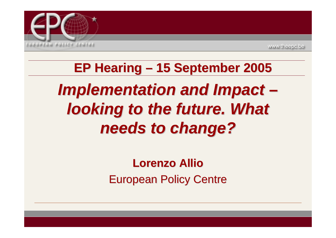

# **EP Hearing EP Hearing – 15 September 5 September 2005** *Implementation and Impact – looking to the future. What needs to change? needs to change?*

#### **Lorenzo Lorenzo Allio European Policy Centre**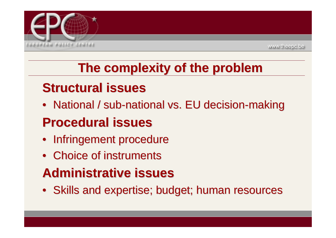

## **The complexity of the problem complexity of the problem**

### **Structural issues Structural issues**

• National / sub-national vs. EU decision-making

## **Procedural issues Procedural issues**

- Infringement procedure
- Choice of instruments

## **Administrative issues Administrative issues**

• Skills and expertise; budget; human resources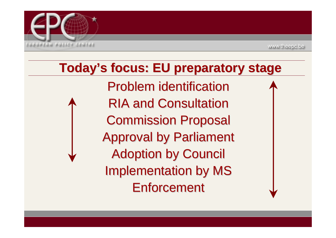

#### **Today's focus: EU preparatory stage oday's focus: EU preparatory stage**

Problem identification **RIA and Consultation Commission Proposal Approval by Parliament Adoption by Council Implementation by MS Enforcement**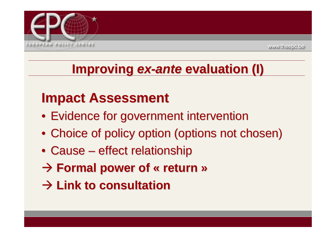

#### **Improving ex-ante evaluation (I)**

## **Impact Assessment Impact Assessment**

- Evidence for government intervention
- Choice of policy option (options not chosen)
- Cause effect relationship
- $\rightarrow$  Formal power of « return »
- Æ **Link to consultation Link to consultation**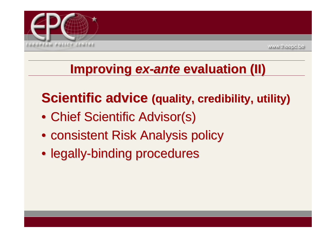

#### **Improving ex-ante evaluation (II)**

## **Scientific advice (quality, credibility, utility)**

- Chief Scientific Advisor(s)
- consistent Risk Analysis policy
- legally-binding procedures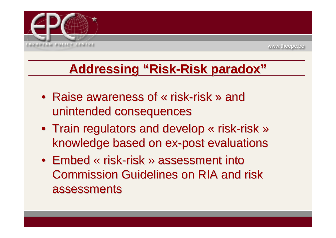

## **Addressing "Risk Addressing "Risk-Risk paradox" Risk paradox"**

- Raise awareness of « risk-risk » and unintended consequences
- Train regulators and develop « risk-risk » knowledge based on ex-post evaluations
- Embed « risk-risk » assessment into Commission Guidelines on RIA and risk Commission Guidelines on RIA and risk assessments assessments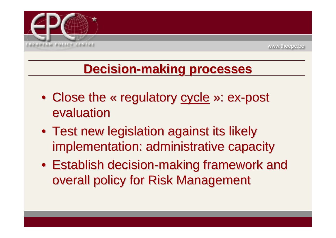

#### **Decision Decision-making processes making processes**

- Close the « regulatory cycle »: ex-post evaluation
- $\bullet\,$  Test new legislation against its likely  $\,$ implementation: administrative capacity
- $\bullet\,$  Establish decision-making framework and overall policy for Risk Management